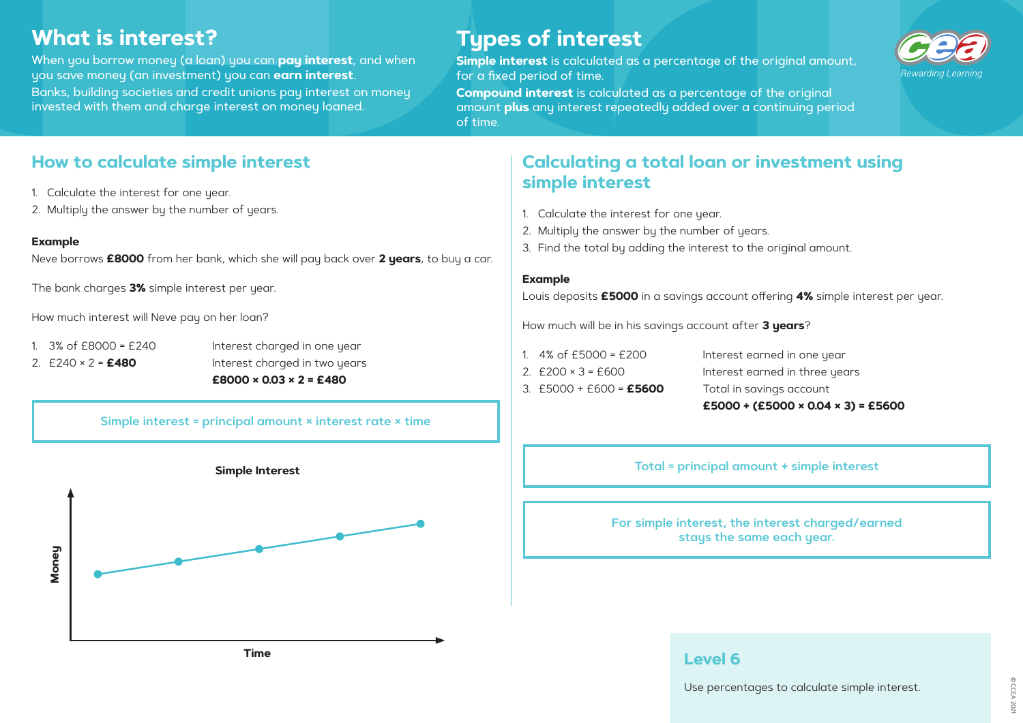# **What is interest?**

When you borrow money (a loan) you can **pay interest**, and when you save money (an investment) you can **earn interest**. Banks, building societies and credit unions pay interest on money

invested with them and charge interest on money loaned.

# **Types of interest**

**Simple interest** is calculated as a percentage of the original amount, for a fixed period of time.

**Compound interest** is calculated as a percentage of the original amount **plus** any interest repeatedly added over a continuing period of time.

- 
- 1. 3% of £8000 = £240 Interest charged in one year 2. £240 × 2 = **£480** Interest charged in two years **£8000 × 0.03 × 2 = £480**

## **How to calculate simple interest**

- 1. Calculate the interest for one year.
- 2. Multiply the answer by the number of years.

### **Example**

Neve borrows **£8000** from her bank, which she will pay back over **2 years**, to buy a car.

The bank charges **3%** simple interest per year.

How much interest will Neve pay on her loan?

### **Simple interest = principal amount × interest rate × time**

# **Calculating a total loan or investment using simple interest**

- 1. Calculate the interest for one year.
- 2. Multiply the answer by the number of years.
- 3. Find the total by adding the interest to the original amount.

### **Example**

Louis deposits **£5000** in a savings account offering **4%** simple interest per year.

How much will be in his savings account after **3 years**?

1. 4% of £5000 = £200 Interest earned in one year 2.  $£200 \times 3 = £600$  Interest earned in three years **£5000 + (£5000 × 0.04 × 3) = £5600**

- 
- 
- 3. £5000 + £600 = **£5600** Total in savings account





Use percentages to calculate simple interest.

**For simple interest, the interest charged/earned stays the same each year.**

**Total = principal amount + simple interest**

**Time**